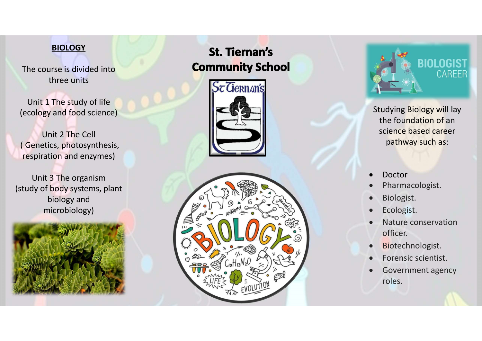## **BIOLOGY**

The course is divided into three units

Unit 1 The study of life (ecology and food science)

Unit 2 The Cell ( Genetics, photosynthesis, respiration and enzymes)

Unit 3 The organism (study of body systems, plant biology and microbiology)



## **St. Tiernan's Community School**







Studying Biology will lay the foundation of an science based career pathway such as:

- Doctor
- Pharmacologist.
- Biologist.
- Ecologist.
- Nature conservation officer.
- **•** Biotechnologist.
- Forensic scientist.
- Government agency roles.